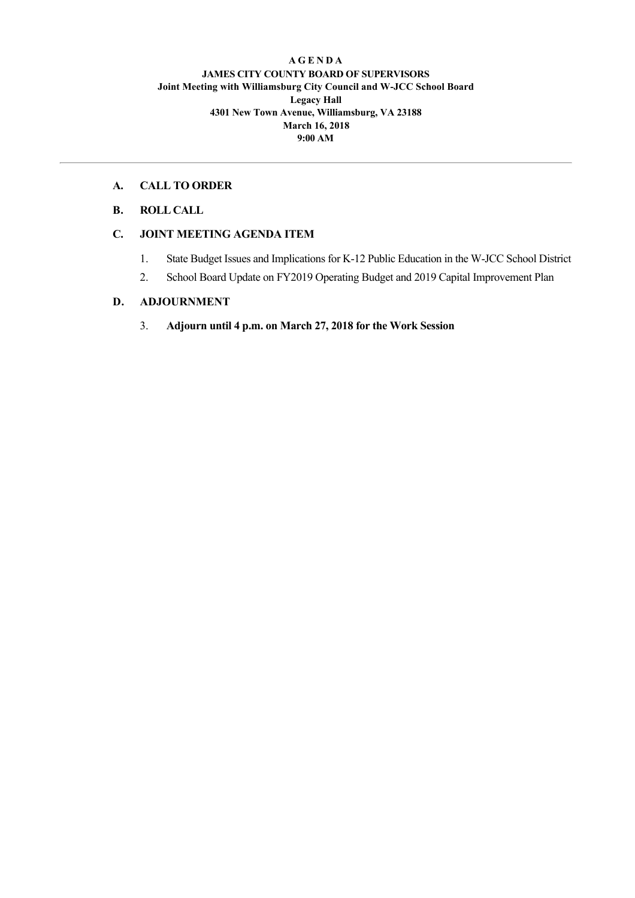#### **A G E N D A JAMES CITY COUNTY BOARD OF SUPERVISORS Joint Meeting with Williamsburg City Council and WJCC School Board Legacy Hall 4301 New Town Avenue, Williamsburg, VA 23188 March 16, 2018 9:00 AM**

### **A. CALL TO ORDER**

**B. ROLL CALL**

## **C. JOINT MEETING AGENDA ITEM**

- 1. State Budget Issues and Implications for K-12 Public Education in the W-JCC School District
- 2. School Board Update on FY2019 Operating Budget and 2019 Capital Improvement Plan

# **D. ADJOURNMENT**

3. **Adjourn until 4 p.m. on March 27, 2018 for the Work Session**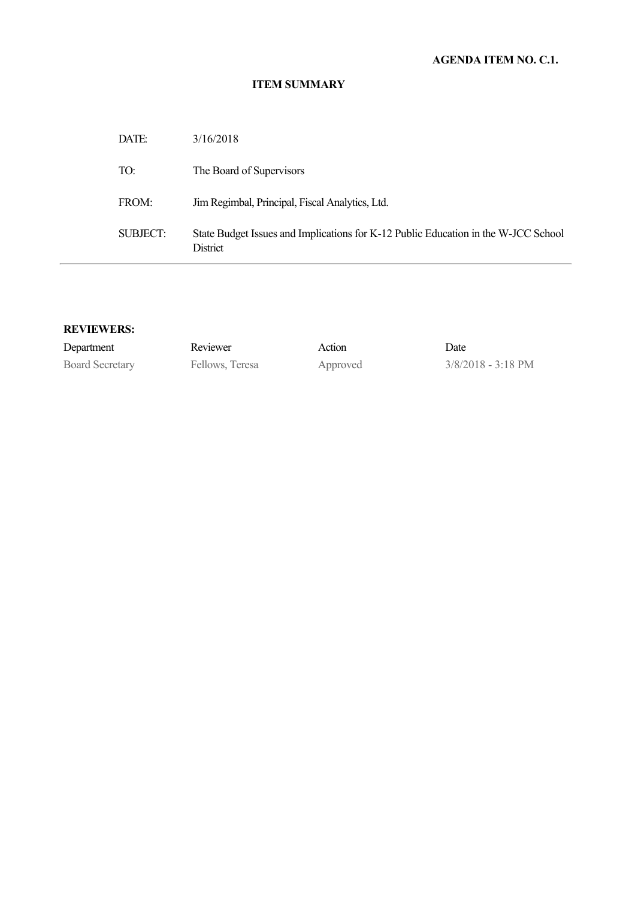### **ITEM SUMMARY**

| DATE:    | 3/16/2018                                                                                             |
|----------|-------------------------------------------------------------------------------------------------------|
| TO:      | The Board of Supervisors                                                                              |
| FROM:    | Jim Regimbal, Principal, Fiscal Analytics, Ltd.                                                       |
| SUBJECT: | State Budget Issues and Implications for K-12 Public Education in the W-JCC School<br><b>District</b> |

### **REVIEWERS:**

| Department             | Reviewer        | Action   | Date                         |
|------------------------|-----------------|----------|------------------------------|
| <b>Board Secretary</b> | Fellows, Teresa | Approved | $3/8/2018 - 3:18 \text{ PM}$ |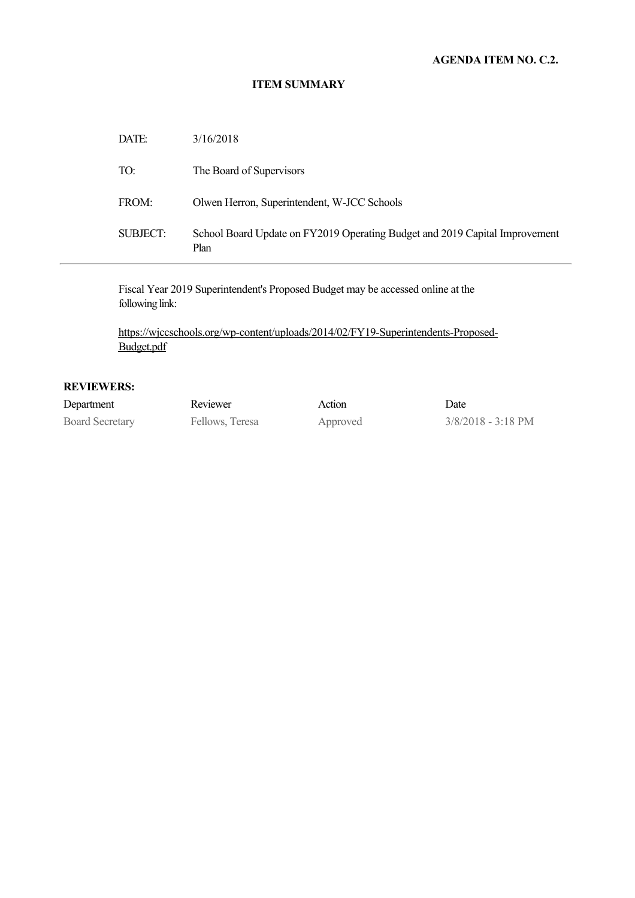### **AGENDA ITEM NO. C.2.**

#### **ITEM SUMMARY**

| <b>SUBJECT:</b> | School Board Update on FY2019 Operating Budget and 2019 Capital Improvement<br>Plan |
|-----------------|-------------------------------------------------------------------------------------|
| FROM:           | Olwen Herron, Superintendent, W-JCC Schools                                         |
| TO:             | The Board of Supervisors                                                            |
| DATE:           | 3/16/2018                                                                           |

Fiscal Year 2019 Superintendent's Proposed Budget may be accessed online at the following link:

https://wjccschools.org/wp-content/uploads/2014/02/FY19-Superintendents-Proposed-Budget.pdf

## **REVIEWERS:**

| Department             | Reviewer        | Action   | Date                         |
|------------------------|-----------------|----------|------------------------------|
| <b>Board Secretary</b> | Fellows, Teresa | Approved | $3/8/2018 - 3:18 \text{ PM}$ |